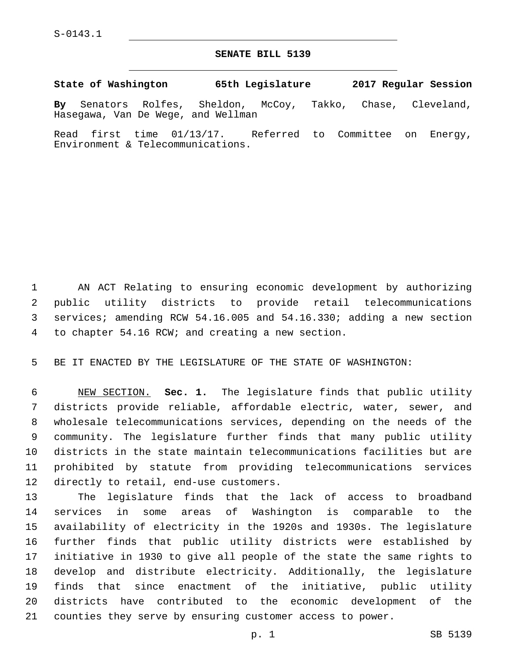## **SENATE BILL 5139**

**State of Washington 65th Legislature 2017 Regular Session**

**By** Senators Rolfes, Sheldon, McCoy, Takko, Chase, Cleveland, Hasegawa, Van De Wege, and Wellman

Read first time 01/13/17. Referred to Committee on Energy, Environment & Telecommunications.

 AN ACT Relating to ensuring economic development by authorizing public utility districts to provide retail telecommunications services; amending RCW 54.16.005 and 54.16.330; adding a new section 4 to chapter 54.16 RCW; and creating a new section.

BE IT ENACTED BY THE LEGISLATURE OF THE STATE OF WASHINGTON:

 NEW SECTION. **Sec. 1.** The legislature finds that public utility districts provide reliable, affordable electric, water, sewer, and wholesale telecommunications services, depending on the needs of the community. The legislature further finds that many public utility districts in the state maintain telecommunications facilities but are prohibited by statute from providing telecommunications services directly to retail, end-use customers.

 The legislature finds that the lack of access to broadband services in some areas of Washington is comparable to the availability of electricity in the 1920s and 1930s. The legislature further finds that public utility districts were established by initiative in 1930 to give all people of the state the same rights to develop and distribute electricity. Additionally, the legislature finds that since enactment of the initiative, public utility districts have contributed to the economic development of the counties they serve by ensuring customer access to power.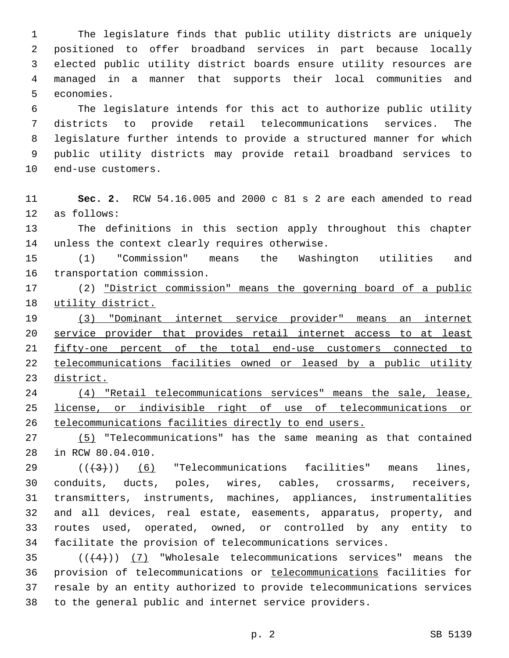The legislature finds that public utility districts are uniquely positioned to offer broadband services in part because locally elected public utility district boards ensure utility resources are managed in a manner that supports their local communities and 5 economies.

 The legislature intends for this act to authorize public utility districts to provide retail telecommunications services. The legislature further intends to provide a structured manner for which public utility districts may provide retail broadband services to 10 end-use customers.

 **Sec. 2.** RCW 54.16.005 and 2000 c 81 s 2 are each amended to read 12 as follows:

 The definitions in this section apply throughout this chapter 14 unless the context clearly requires otherwise.

 (1) "Commission" means the Washington utilities and 16 transportation commission.

17 (2) "District commission" means the governing board of a public utility district.

 (3) "Dominant internet service provider" means an internet service provider that provides retail internet access to at least 21 fifty-one percent of the total end-use customers connected to telecommunications facilities owned or leased by a public utility district.

 (4) "Retail telecommunications services" means the sale, lease, license, or indivisible right of use of telecommunications or telecommunications facilities directly to end users.

 (5) "Telecommunications" has the same meaning as that contained 28 in RCW 80.04.010.

 $((+3+))$  (6) "Telecommunications facilities" means lines, conduits, ducts, poles, wires, cables, crossarms, receivers, transmitters, instruments, machines, appliances, instrumentalities and all devices, real estate, easements, apparatus, property, and routes used, operated, owned, or controlled by any entity to facilitate the provision of telecommunications services.

 $((+4))$   $(7)$  "Wholesale telecommunications services" means the provision of telecommunications or telecommunications facilities for resale by an entity authorized to provide telecommunications services to the general public and internet service providers.

p. 2 SB 5139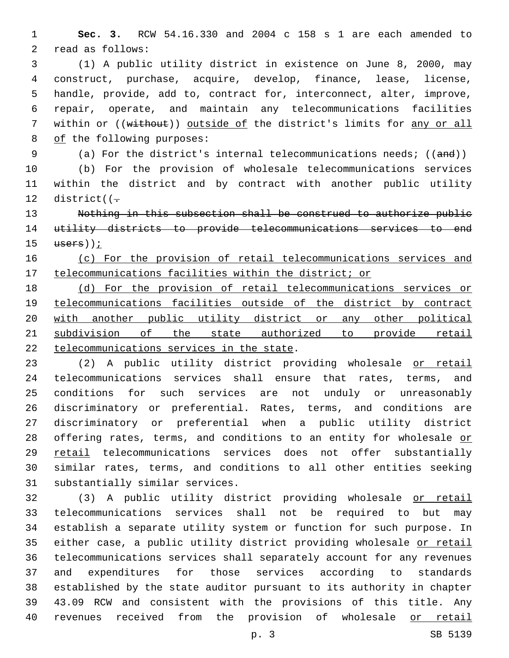**Sec. 3.** RCW 54.16.330 and 2004 c 158 s 1 are each amended to 2 read as follows:

 (1) A public utility district in existence on June 8, 2000, may construct, purchase, acquire, develop, finance, lease, license, handle, provide, add to, contract for, interconnect, alter, improve, repair, operate, and maintain any telecommunications facilities 7 within or ((without)) outside of the district's limits for any or all 8 of the following purposes:

9 (a) For the district's internal telecommunications needs; ((and))

 (b) For the provision of wholesale telecommunications services within the district and by contract with another public utility 12 district( $(-$ 

 Nothing in this subsection shall be construed to authorize public utility districts to provide telecommunications services to end users));

## (c) For the provision of retail telecommunications services and telecommunications facilities within the district; or

 (d) For the provision of retail telecommunications services or telecommunications facilities outside of the district by contract 20 with another public utility district or any other political subdivision of the state authorized to provide retail 22 telecommunications services in the state.

 (2) A public utility district providing wholesale or retail telecommunications services shall ensure that rates, terms, and conditions for such services are not unduly or unreasonably discriminatory or preferential. Rates, terms, and conditions are discriminatory or preferential when a public utility district 28 offering rates, terms, and conditions to an entity for wholesale or retail telecommunications services does not offer substantially similar rates, terms, and conditions to all other entities seeking 31 substantially similar services.

 (3) A public utility district providing wholesale or retail telecommunications services shall not be required to but may establish a separate utility system or function for such purpose. In 35 either case, a public utility district providing wholesale or retail telecommunications services shall separately account for any revenues and expenditures for those services according to standards established by the state auditor pursuant to its authority in chapter 43.09 RCW and consistent with the provisions of this title. Any revenues received from the provision of wholesale or retail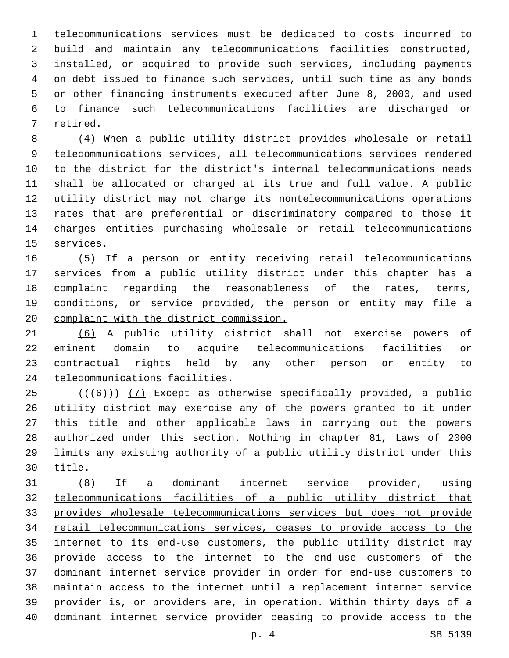telecommunications services must be dedicated to costs incurred to build and maintain any telecommunications facilities constructed, installed, or acquired to provide such services, including payments on debt issued to finance such services, until such time as any bonds or other financing instruments executed after June 8, 2000, and used to finance such telecommunications facilities are discharged or 7 retired.

 (4) When a public utility district provides wholesale or retail telecommunications services, all telecommunications services rendered to the district for the district's internal telecommunications needs shall be allocated or charged at its true and full value. A public utility district may not charge its nontelecommunications operations rates that are preferential or discriminatory compared to those it 14 charges entities purchasing wholesale or retail telecommunications 15 services.

 (5) If a person or entity receiving retail telecommunications 17 services from a public utility district under this chapter has a complaint regarding the reasonableness of the rates, terms, 19 conditions, or service provided, the person or entity may file a complaint with the district commission.

 (6) A public utility district shall not exercise powers of eminent domain to acquire telecommunications facilities or contractual rights held by any other person or entity to 24 telecommunications facilities.

 (( $(46)$ )) (7) Except as otherwise specifically provided, a public utility district may exercise any of the powers granted to it under this title and other applicable laws in carrying out the powers authorized under this section. Nothing in chapter 81, Laws of 2000 limits any existing authority of a public utility district under this 30 title.

 (8) If a dominant internet service provider, using telecommunications facilities of a public utility district that provides wholesale telecommunications services but does not provide retail telecommunications services, ceases to provide access to the internet to its end-use customers, the public utility district may provide access to the internet to the end-use customers of the dominant internet service provider in order for end-use customers to maintain access to the internet until a replacement internet service provider is, or providers are, in operation. Within thirty days of a dominant internet service provider ceasing to provide access to the

p. 4 SB 5139